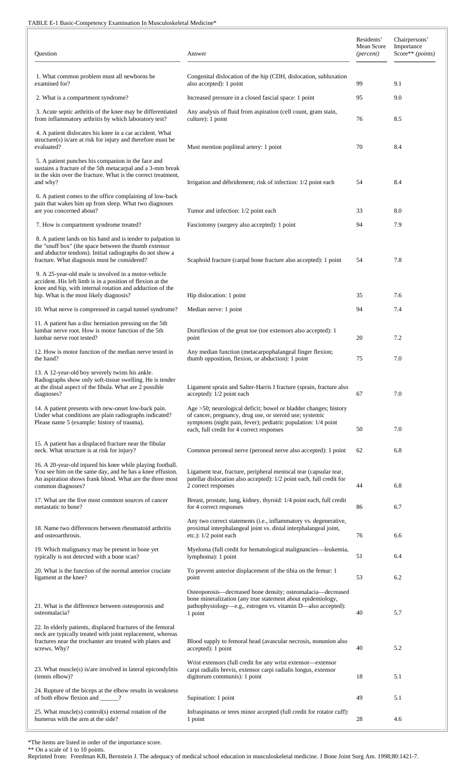## TABLE E-1 Basic-Competency Examination In Musculoskeletal Medicine\*

| Question                                                                                                                                                                                                                          | Answer                                                                                                                                                                                                                                     | Residents'<br>Mean Score<br>( <i>percent</i> ) | Chairpersons'<br>Importance<br>Score** (points) |  |
|-----------------------------------------------------------------------------------------------------------------------------------------------------------------------------------------------------------------------------------|--------------------------------------------------------------------------------------------------------------------------------------------------------------------------------------------------------------------------------------------|------------------------------------------------|-------------------------------------------------|--|
| 1. What common problem must all newborns be<br>examined for?                                                                                                                                                                      | Congenital dislocation of the hip (CDH, dislocation, subluxation<br>also accepted): 1 point                                                                                                                                                | 99                                             | 9.1                                             |  |
| 2. What is a compartment syndrome?                                                                                                                                                                                                | Increased pressure in a closed fascial space: 1 point                                                                                                                                                                                      | 95                                             | 9.0                                             |  |
| 3. Acute septic arthritis of the knee may be differentiated<br>from inflammatory arthritis by which laboratory test?                                                                                                              | Any analysis of fluid from aspiration (cell count, gram stain,<br>culture): 1 point                                                                                                                                                        | 76                                             | 8.5                                             |  |
| 4. A patient dislocates his knee in a car accident. What<br>structure(s) is/are at risk for injury and therefore must be<br>evaluated?                                                                                            | Must mention popliteal artery: 1 point                                                                                                                                                                                                     | 70                                             | 8.4                                             |  |
| 5. A patient punches his companion in the face and<br>sustains a fracture of the 5th metacarpal and a 3-mm break<br>in the skin over the fracture. What is the correct treatment,<br>and why?                                     | Irrigation and débridement; risk of infection: 1/2 point each                                                                                                                                                                              | 54                                             | 8.4                                             |  |
| 6. A patient comes to the office complaining of low-back<br>pain that wakes him up from sleep. What two diagnoses<br>are you concerned about?                                                                                     | Tumor and infection: 1/2 point each                                                                                                                                                                                                        | 33                                             | 8.0                                             |  |
| 7. How is compartment syndrome treated?                                                                                                                                                                                           | Fasciotomy (surgery also accepted): 1 point                                                                                                                                                                                                | 94                                             | 7.9                                             |  |
| 8. A patient lands on his hand and is tender to palpation in<br>the "snuff box" (the space between the thumb extensor<br>and abductor tendons). Initial radiographs do not show a<br>fracture. What diagnosis must be considered? | Scaphoid fracture (carpal bone fracture also accepted): 1 point                                                                                                                                                                            | 54                                             | 7.8                                             |  |
| 9. A 25-year-old male is involved in a motor-vehicle<br>accident. His left limb is in a position of flexion at the<br>knee and hip, with internal rotation and adduction of the<br>hip. What is the most likely diagnosis?        | Hip dislocation: 1 point                                                                                                                                                                                                                   | 35                                             | 7.6                                             |  |
| 10. What nerve is compressed in carpal tunnel syndrome?                                                                                                                                                                           | Median nerve: 1 point                                                                                                                                                                                                                      | 94                                             | 7.4                                             |  |
| 11. A patient has a disc herniation pressing on the 5th<br>lumbar nerve root. How is motor function of the 5th<br>lumbar nerve root tested?                                                                                       | Dorsiflexion of the great toe (toe extensors also accepted): 1<br>point                                                                                                                                                                    | 20                                             | 7.2                                             |  |
| 12. How is motor function of the median nerve tested in<br>the hand?                                                                                                                                                              | Any median function (metacarpophalangeal finger flexion;<br>thumb opposition, flexion, or abduction): 1 point                                                                                                                              | 75                                             | 7.0                                             |  |
| 13. A 12-year-old boy severely twists his ankle.<br>Radiographs show only soft-tissue swelling. He is tender<br>at the distal aspect of the fibula. What are 2 possible<br>diagnoses?                                             | Ligament sprain and Salter-Harris I fracture (sprain, fracture also<br>accepted): 1/2 point each                                                                                                                                           | 67                                             | 7.0                                             |  |
| 14. A patient presents with new-onset low-back pain.<br>Under what conditions are plain radiographs indicated?<br>Please name 5 (example: history of trauma).                                                                     | Age >50; neurological deficit; bowel or bladder changes; history<br>of cancer, pregnancy, drug use, or steroid use; systemic<br>symptoms (night pain, fever); pediatric population: 1/4 point<br>each, full credit for 4 correct responses | 50                                             | 7.0                                             |  |
| 15. A patient has a displaced fracture near the fibular<br>neck. What structure is at risk for injury?                                                                                                                            | Common peroneal nerve (peroneal nerve also accepted): 1 point                                                                                                                                                                              | 62                                             | 6.8                                             |  |
| 16. A 20-year-old injured his knee while playing football.<br>You see him on the same day, and he has a knee effusion.<br>An aspiration shows frank blood. What are the three most<br>common diagnoses?                           | Ligament tear, fracture, peripheral meniscal tear (capsular tear,<br>patellar dislocation also accepted): 1/2 point each, full credit for<br>2 correct responses                                                                           | 44                                             | 6.8                                             |  |
| 17. What are the five most common sources of cancer<br>metastatic to bone?                                                                                                                                                        | Breast, prostate, lung, kidney, thyroid: 1/4 point each, full credit<br>for 4 correct responses                                                                                                                                            | 86                                             | 6.7                                             |  |
| 18. Name two differences between rheumatoid arthritis<br>and osteoarthrosis.                                                                                                                                                      | Any two correct statements (i.e., inflammatory vs. degenerative,<br>proximal interphalangeal joint vs. distal interphalangeal joint,<br>etc.): 1/2 point each                                                                              | 76                                             | 6.6                                             |  |
| 19. Which malignancy may be present in bone yet<br>typically is not detected with a bone scan?                                                                                                                                    | Myeloma (full credit for hematological malignancies—leukemia,<br>lymphoma): 1 point                                                                                                                                                        | 51                                             | 6.4                                             |  |
| 20. What is the function of the normal anterior cruciate<br>ligament at the knee?                                                                                                                                                 | To prevent anterior displacement of the tibia on the femur: 1<br>point                                                                                                                                                                     | 53                                             | 6.2                                             |  |
| 21. What is the difference between osteoporosis and<br>osteomalacia?                                                                                                                                                              | Osteoporosis—decreased bone density; osteomalacia—decreased<br>bone mineralization (any true statement about epidemiology,<br>pathophysiology—e.g., estrogen vs. vitamin D—also accepted):<br>1 point                                      | 40                                             | 5.7                                             |  |
| 22. In elderly patients, displaced fractures of the femoral<br>neck are typically treated with joint replacement, whereas<br>fractures near the trochanter are treated with plates and<br>screws. Why?                            | Blood supply to femoral head (avascular necrosis, nonunion also<br>accepted): 1 point                                                                                                                                                      | 40                                             | 5.2                                             |  |
| 23. What $muscle(s)$ is/are involved in lateral epicondylitis<br>(tennis elbow)?                                                                                                                                                  | Wrist extensors (full credit for any wrist extensor-extensor<br>carpi radialis brevis, extensor carpi radialis longus, extensor<br>digitorum communis): 1 point                                                                            | 18                                             | 5.1                                             |  |
| 24. Rupture of the biceps at the elbow results in weakness<br>of both elbow flexion and _____?                                                                                                                                    | Supination: 1 point                                                                                                                                                                                                                        | 49                                             | 5.1                                             |  |
| 25. What muscle(s) control(s) external rotation of the<br>humerus with the arm at the side?                                                                                                                                       | Infraspinatus or teres minor accepted (full credit for rotator cuff):<br>1 point                                                                                                                                                           | 28                                             | 4.6                                             |  |

\*The items are listed in order of the importance score.

\*\* On a scale of 1 to 10 points.

Reprinted from: Freedman KB, Bernstein J. The adequacy of medical school education in musculoskeletal medicine. J Bone Joint Surg Am. 1998;80:1421-7.